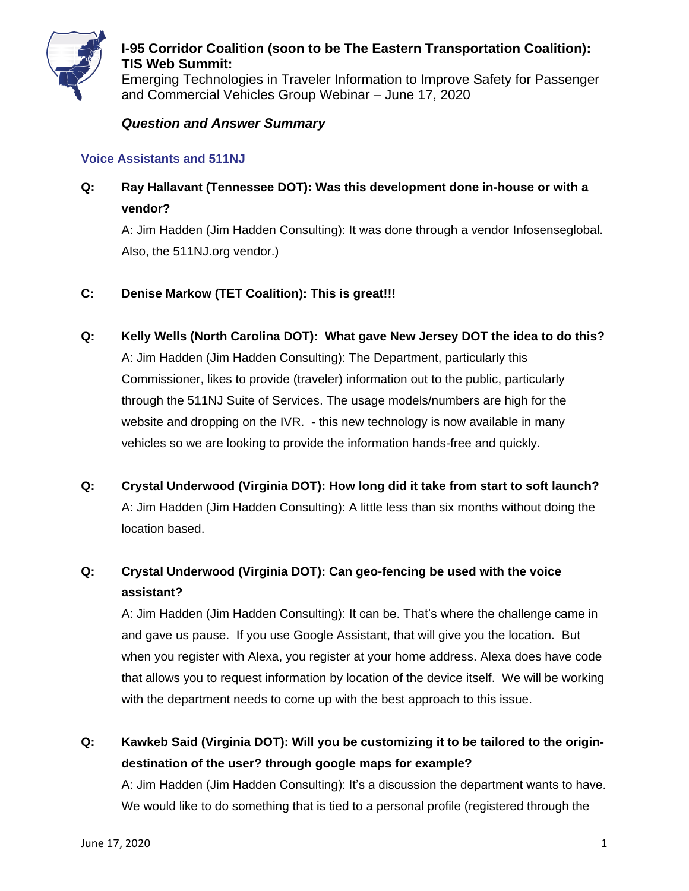

Emerging Technologies in Traveler Information to Improve Safety for Passenger and Commercial Vehicles Group Webinar – June 17, 2020

#### *Question and Answer Summary*

#### **Voice Assistants and 511NJ**

# **Q: Ray Hallavant (Tennessee DOT): Was this development done in-house or with a vendor?**

A: Jim Hadden (Jim Hadden Consulting): It was done through a vendor Infosenseglobal. Also, the 511NJ.org vendor.)

#### **C: Denise Markow (TET Coalition): This is great!!!**

- **Q: Kelly Wells (North Carolina DOT): What gave New Jersey DOT the idea to do this?** A: Jim Hadden (Jim Hadden Consulting): The Department, particularly this Commissioner, likes to provide (traveler) information out to the public, particularly through the 511NJ Suite of Services. The usage models/numbers are high for the website and dropping on the IVR. - this new technology is now available in many vehicles so we are looking to provide the information hands-free and quickly.
- **Q: Crystal Underwood (Virginia DOT): How long did it take from start to soft launch?** A: Jim Hadden (Jim Hadden Consulting): A little less than six months without doing the location based.

# **Q: Crystal Underwood (Virginia DOT): Can geo-fencing be used with the voice assistant?**

A: Jim Hadden (Jim Hadden Consulting): It can be. That's where the challenge came in and gave us pause. If you use Google Assistant, that will give you the location. But when you register with Alexa, you register at your home address. Alexa does have code that allows you to request information by location of the device itself. We will be working with the department needs to come up with the best approach to this issue.

**Q: Kawkeb Said (Virginia DOT): Will you be customizing it to be tailored to the origindestination of the user? through google maps for example?**

A: Jim Hadden (Jim Hadden Consulting): It's a discussion the department wants to have. We would like to do something that is tied to a personal profile (registered through the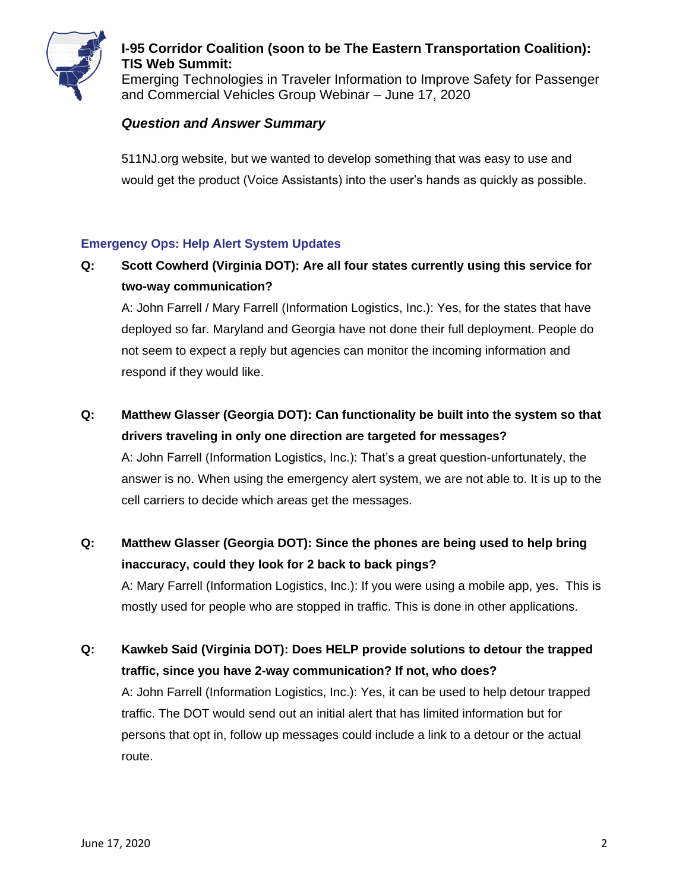

Emerging Technologies in Traveler Information to Improve Safety for Passenger and Commercial Vehicles Group Webinar – June 17, 2020

### *Question and Answer Summary*

511NJ.org website, but we wanted to develop something that was easy to use and would get the product (Voice Assistants) into the user's hands as quickly as possible.

#### **Emergency Ops: Help Alert System Updates**

# **Q: Scott Cowherd (Virginia DOT): Are all four states currently using this service for two-way communication?**

A: John Farrell / Mary Farrell (Information Logistics, Inc.): Yes, for the states that have deployed so far. Maryland and Georgia have not done their full deployment. People do not seem to expect a reply but agencies can monitor the incoming information and respond if they would like.

# **Q: Matthew Glasser (Georgia DOT): Can functionality be built into the system so that drivers traveling in only one direction are targeted for messages?**

A: John Farrell (Information Logistics, Inc.): That's a great question-unfortunately, the answer is no. When using the emergency alert system, we are not able to. It is up to the cell carriers to decide which areas get the messages.

# **Q: Matthew Glasser (Georgia DOT): Since the phones are being used to help bring inaccuracy, could they look for 2 back to back pings?**

A: Mary Farrell (Information Logistics, Inc.): If you were using a mobile app, yes. This is mostly used for people who are stopped in traffic. This is done in other applications.

## **Q: Kawkeb Said (Virginia DOT): Does HELP provide solutions to detour the trapped traffic, since you have 2-way communication? If not, who does?**

A: John Farrell (Information Logistics, Inc.): Yes, it can be used to help detour trapped traffic. The DOT would send out an initial alert that has limited information but for persons that opt in, follow up messages could include a link to a detour or the actual route.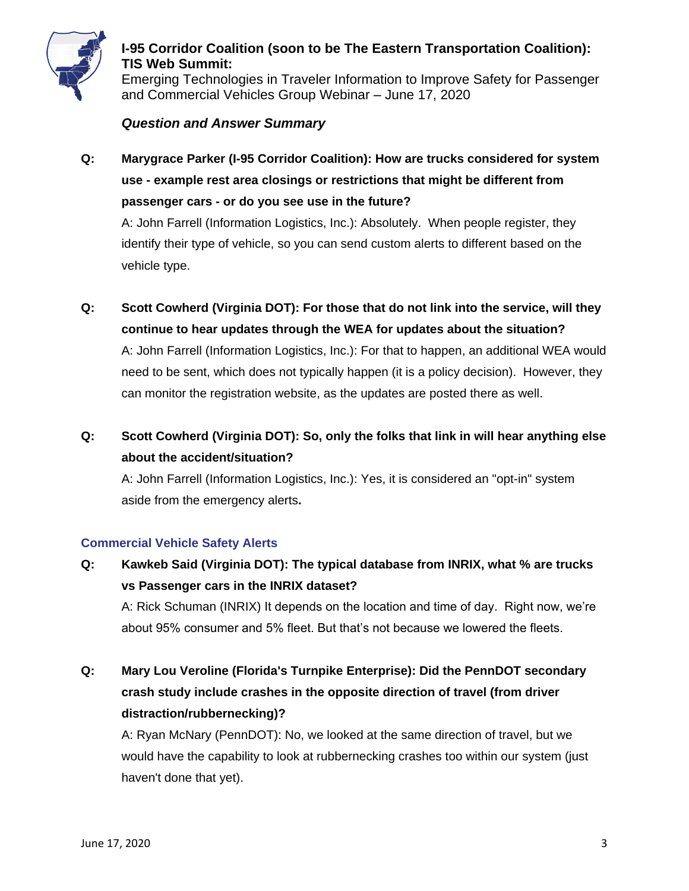

Emerging Technologies in Traveler Information to Improve Safety for Passenger and Commercial Vehicles Group Webinar – June 17, 2020

#### *Question and Answer Summary*

**Q: Marygrace Parker (I-95 Corridor Coalition): How are trucks considered for system use - example rest area closings or restrictions that might be different from passenger cars - or do you see use in the future?**

A: John Farrell (Information Logistics, Inc.): Absolutely. When people register, they identify their type of vehicle, so you can send custom alerts to different based on the vehicle type.

- **Q: Scott Cowherd (Virginia DOT): For those that do not link into the service, will they continue to hear updates through the WEA for updates about the situation?** A: John Farrell (Information Logistics, Inc.): For that to happen, an additional WEA would need to be sent, which does not typically happen (it is a policy decision). However, they can monitor the registration website, as the updates are posted there as well.
- **Q: Scott Cowherd (Virginia DOT): So, only the folks that link in will hear anything else about the accident/situation?**

A: John Farrell (Information Logistics, Inc.): Yes, it is considered an "opt-in" system aside from the emergency alerts**.**

#### **Commercial Vehicle Safety Alerts**

- **Q: Kawkeb Said (Virginia DOT): The typical database from INRIX, what % are trucks vs Passenger cars in the INRIX dataset?** A: Rick Schuman (INRIX) It depends on the location and time of day. Right now, we're about 95% consumer and 5% fleet. But that's not because we lowered the fleets.
- **Q: Mary Lou Veroline (Florida's Turnpike Enterprise): Did the PennDOT secondary crash study include crashes in the opposite direction of travel (from driver distraction/rubbernecking)?**

A: Ryan McNary (PennDOT): No, we looked at the same direction of travel, but we would have the capability to look at rubbernecking crashes too within our system (just haven't done that yet).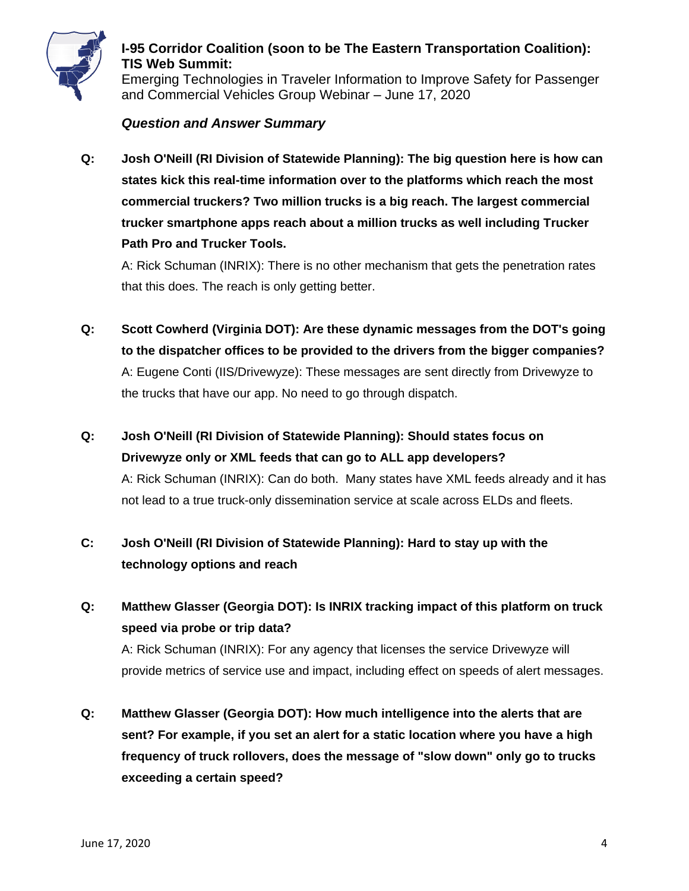

Emerging Technologies in Traveler Information to Improve Safety for Passenger and Commercial Vehicles Group Webinar – June 17, 2020

#### *Question and Answer Summary*

**Q: Josh O'Neill (RI Division of Statewide Planning): The big question here is how can states kick this real-time information over to the platforms which reach the most commercial truckers? Two million trucks is a big reach. The largest commercial trucker smartphone apps reach about a million trucks as well including Trucker Path Pro and Trucker Tools.**

A: Rick Schuman (INRIX): There is no other mechanism that gets the penetration rates that this does. The reach is only getting better.

- **Q: Scott Cowherd (Virginia DOT): Are these dynamic messages from the DOT's going to the dispatcher offices to be provided to the drivers from the bigger companies?** A: Eugene Conti (IIS/Drivewyze): These messages are sent directly from Drivewyze to the trucks that have our app. No need to go through dispatch.
- **Q: Josh O'Neill (RI Division of Statewide Planning): Should states focus on Drivewyze only or XML feeds that can go to ALL app developers?** A: Rick Schuman (INRIX): Can do both. Many states have XML feeds already and it has not lead to a true truck-only dissemination service at scale across ELDs and fleets.
- **C: Josh O'Neill (RI Division of Statewide Planning): Hard to stay up with the technology options and reach**
- **Q: Matthew Glasser (Georgia DOT): Is INRIX tracking impact of this platform on truck speed via probe or trip data?** A: Rick Schuman (INRIX): For any agency that licenses the service Drivewyze will provide metrics of service use and impact, including effect on speeds of alert messages.
- **Q: Matthew Glasser (Georgia DOT): How much intelligence into the alerts that are sent? For example, if you set an alert for a static location where you have a high frequency of truck rollovers, does the message of "slow down" only go to trucks exceeding a certain speed?**